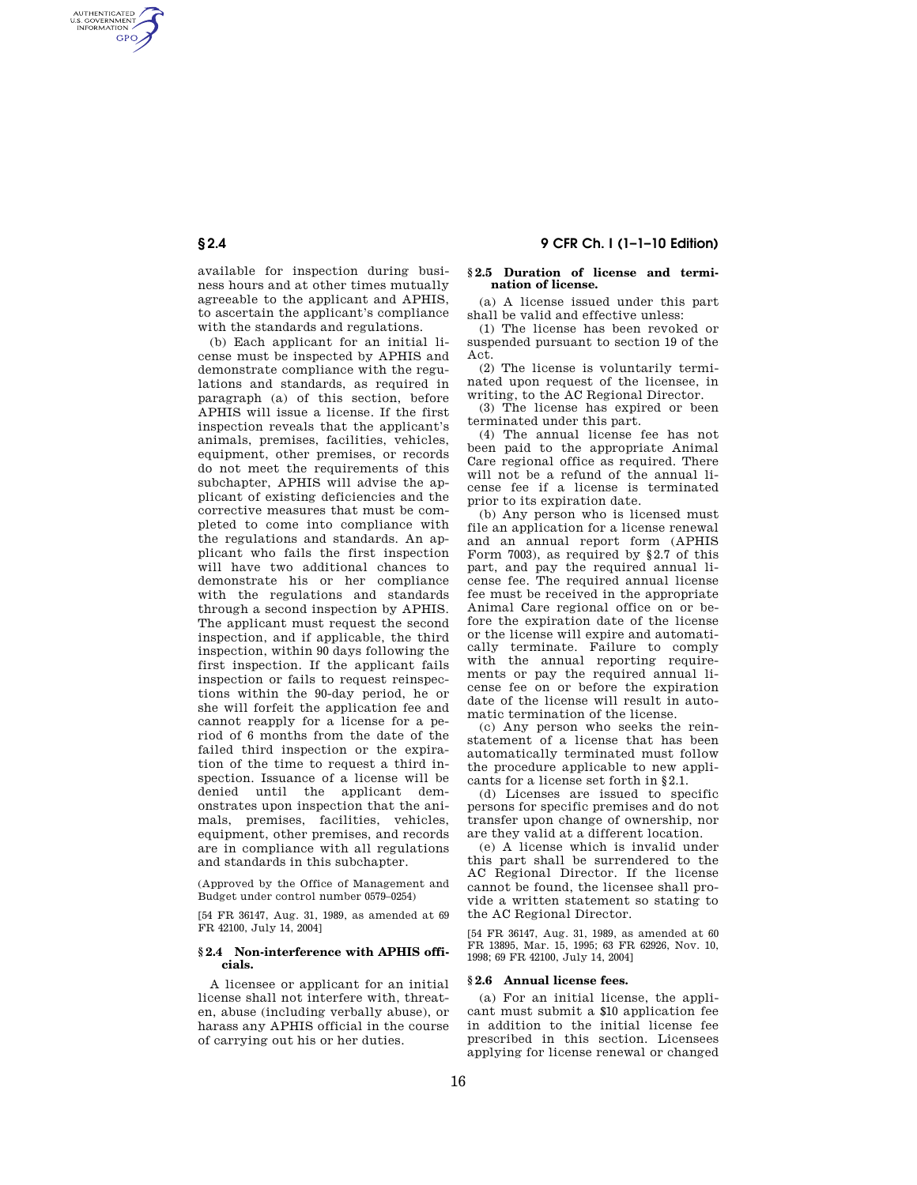AUTHENTICATED<br>U.S. GOVERNMENT<br>INFORMATION **GPO** 

> available for inspection during business hours and at other times mutually agreeable to the applicant and APHIS, to ascertain the applicant's compliance with the standards and regulations.

(b) Each applicant for an initial license must be inspected by APHIS and demonstrate compliance with the regulations and standards, as required in paragraph (a) of this section, before APHIS will issue a license. If the first inspection reveals that the applicant's animals, premises, facilities, vehicles, equipment, other premises, or records do not meet the requirements of this subchapter, APHIS will advise the applicant of existing deficiencies and the corrective measures that must be completed to come into compliance with the regulations and standards. An applicant who fails the first inspection will have two additional chances to demonstrate his or her compliance with the regulations and standards through a second inspection by APHIS. The applicant must request the second inspection, and if applicable, the third inspection, within 90 days following the first inspection. If the applicant fails inspection or fails to request reinspections within the 90-day period, he or she will forfeit the application fee and cannot reapply for a license for a period of 6 months from the date of the failed third inspection or the expiration of the time to request a third inspection. Issuance of a license will be denied until the applicant demonstrates upon inspection that the animals, premises, facilities, vehicles, equipment, other premises, and records are in compliance with all regulations and standards in this subchapter.

(Approved by the Office of Management and Budget under control number 0579–0254)

[54 FR 36147, Aug. 31, 1989, as amended at 69 FR 42100, July 14, 2004]

# **§ 2.4 Non-interference with APHIS officials.**

A licensee or applicant for an initial license shall not interfere with, threaten, abuse (including verbally abuse), or harass any APHIS official in the course of carrying out his or her duties.

### **§ 2.5 Duration of license and termination of license.**

(a) A license issued under this part shall be valid and effective unless:

(1) The license has been revoked or suspended pursuant to section 19 of the Act.

(2) The license is voluntarily terminated upon request of the licensee, in writing, to the AC Regional Director.

(3) The license has expired or been terminated under this part.

(4) The annual license fee has not been paid to the appropriate Animal Care regional office as required. There will not be a refund of the annual license fee if a license is terminated prior to its expiration date.

(b) Any person who is licensed must file an application for a license renewal and an annual report form (APHIS Form 7003), as required by §2.7 of this part, and pay the required annual license fee. The required annual license fee must be received in the appropriate Animal Care regional office on or before the expiration date of the license or the license will expire and automatically terminate. Failure to comply with the annual reporting requirements or pay the required annual license fee on or before the expiration date of the license will result in automatic termination of the license.

(c) Any person who seeks the reinstatement of a license that has been automatically terminated must follow the procedure applicable to new applicants for a license set forth in §2.1.

(d) Licenses are issued to specific persons for specific premises and do not transfer upon change of ownership, nor are they valid at a different location.

(e) A license which is invalid under this part shall be surrendered to the AC Regional Director. If the license cannot be found, the licensee shall provide a written statement so stating to the AC Regional Director.

[54 FR 36147, Aug. 31, 1989, as amended at 60 FR 13895, Mar. 15, 1995; 63 FR 62926, Nov. 10, 1998; 69 FR 42100, July 14, 2004]

#### **§ 2.6 Annual license fees.**

(a) For an initial license, the applicant must submit a \$10 application fee in addition to the initial license fee prescribed in this section. Licensees applying for license renewal or changed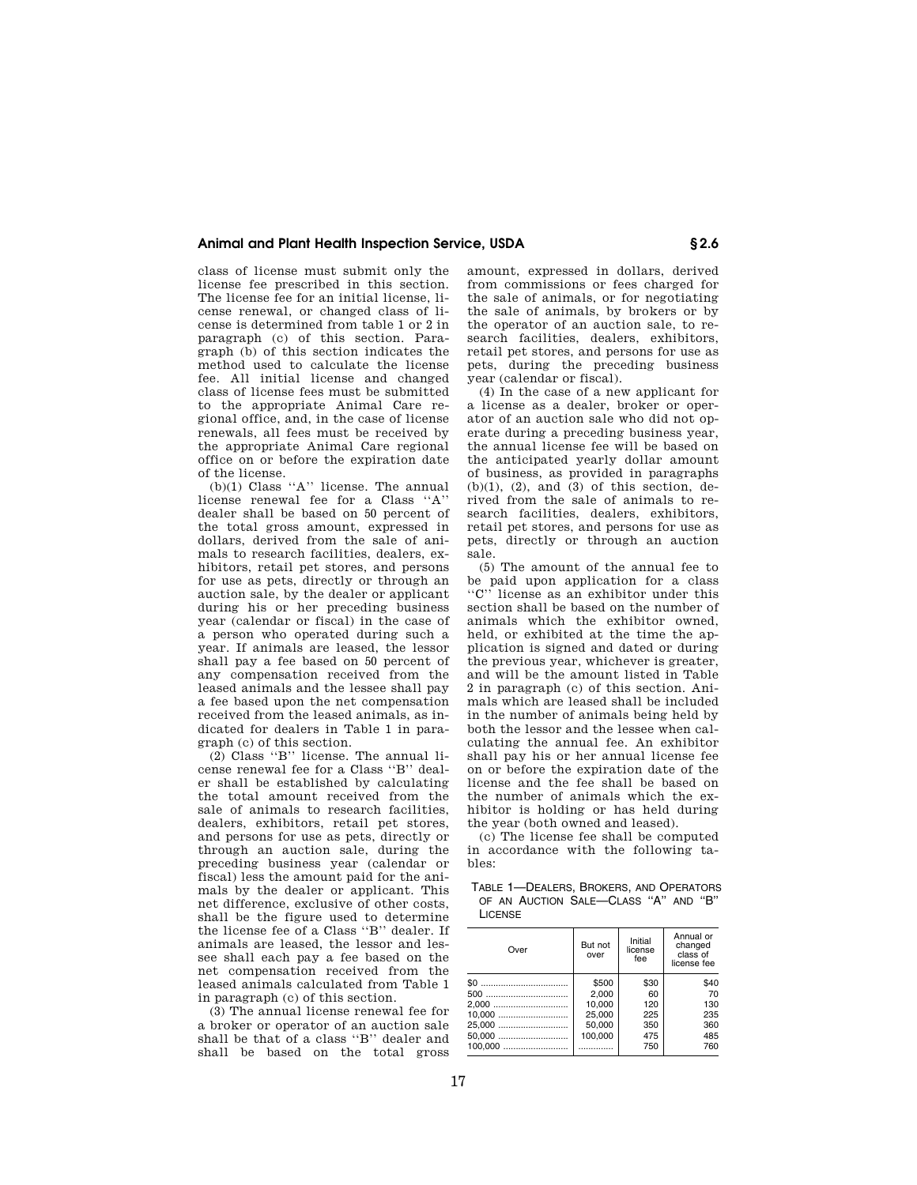# **Animal and Plant Health Inspection Service, USDA § 2.6**

class of license must submit only the license fee prescribed in this section. The license fee for an initial license, license renewal, or changed class of license is determined from table 1 or 2 in paragraph (c) of this section. Paragraph (b) of this section indicates the method used to calculate the license fee. All initial license and changed class of license fees must be submitted to the appropriate Animal Care regional office, and, in the case of license renewals, all fees must be received by the appropriate Animal Care regional office on or before the expiration date of the license.

(b)(1) Class ''A'' license. The annual license renewal fee for a Class ''A'' dealer shall be based on 50 percent of the total gross amount, expressed in dollars, derived from the sale of animals to research facilities, dealers, exhibitors, retail pet stores, and persons for use as pets, directly or through an auction sale, by the dealer or applicant during his or her preceding business year (calendar or fiscal) in the case of a person who operated during such a year. If animals are leased, the lessor shall pay a fee based on 50 percent of any compensation received from the leased animals and the lessee shall pay a fee based upon the net compensation received from the leased animals, as indicated for dealers in Table 1 in paragraph (c) of this section.

(2) Class ''B'' license. The annual license renewal fee for a Class ''B'' dealer shall be established by calculating the total amount received from the sale of animals to research facilities, dealers, exhibitors, retail pet stores, and persons for use as pets, directly or through an auction sale, during the preceding business year (calendar or fiscal) less the amount paid for the animals by the dealer or applicant. This net difference, exclusive of other costs, shall be the figure used to determine the license fee of a Class ''B'' dealer. If animals are leased, the lessor and lessee shall each pay a fee based on the net compensation received from the leased animals calculated from Table 1 in paragraph (c) of this section.

(3) The annual license renewal fee for a broker or operator of an auction sale shall be that of a class ''B'' dealer and shall be based on the total gross amount, expressed in dollars, derived from commissions or fees charged for the sale of animals, or for negotiating the sale of animals, by brokers or by the operator of an auction sale, to research facilities, dealers, exhibitors, retail pet stores, and persons for use as pets, during the preceding business year (calendar or fiscal).

(4) In the case of a new applicant for a license as a dealer, broker or operator of an auction sale who did not operate during a preceding business year, the annual license fee will be based on the anticipated yearly dollar amount of business, as provided in paragraphs  $(b)(1)$ ,  $(2)$ , and  $(3)$  of this section, derived from the sale of animals to research facilities, dealers, exhibitors, retail pet stores, and persons for use as pets, directly or through an auction sale.

(5) The amount of the annual fee to be paid upon application for a class<br>" $C$ " license as an exhibitor under this license as an exhibitor under this section shall be based on the number of animals which the exhibitor owned, held, or exhibited at the time the application is signed and dated or during the previous year, whichever is greater, and will be the amount listed in Table 2 in paragraph (c) of this section. Animals which are leased shall be included in the number of animals being held by both the lessor and the lessee when calculating the annual fee. An exhibitor shall pay his or her annual license fee on or before the expiration date of the license and the fee shall be based on the number of animals which the exhibitor is holding or has held during the year (both owned and leased).

(c) The license fee shall be computed in accordance with the following tables:

TABLE 1—DEALERS, BROKERS, AND OPERATORS OF AN AUCTION SALE—CLASS ''A'' AND ''B'' LICENSE

| Over   | But not<br>over | Initial<br>license<br>fee | Annual or<br>changed<br>class of<br>license fee |
|--------|-----------------|---------------------------|-------------------------------------------------|
|        | \$500           | \$30                      | \$40                                            |
|        | 2.000           | 60                        | 70                                              |
| 2,000  | 10.000          | 120                       | 130                                             |
| 10,000 | 25,000          | 225                       | 235                                             |
| 25,000 | 50.000          | 350                       | 360                                             |
| 50,000 | 100.000         | 475                       | 485                                             |
|        | .               | 750                       | 760                                             |